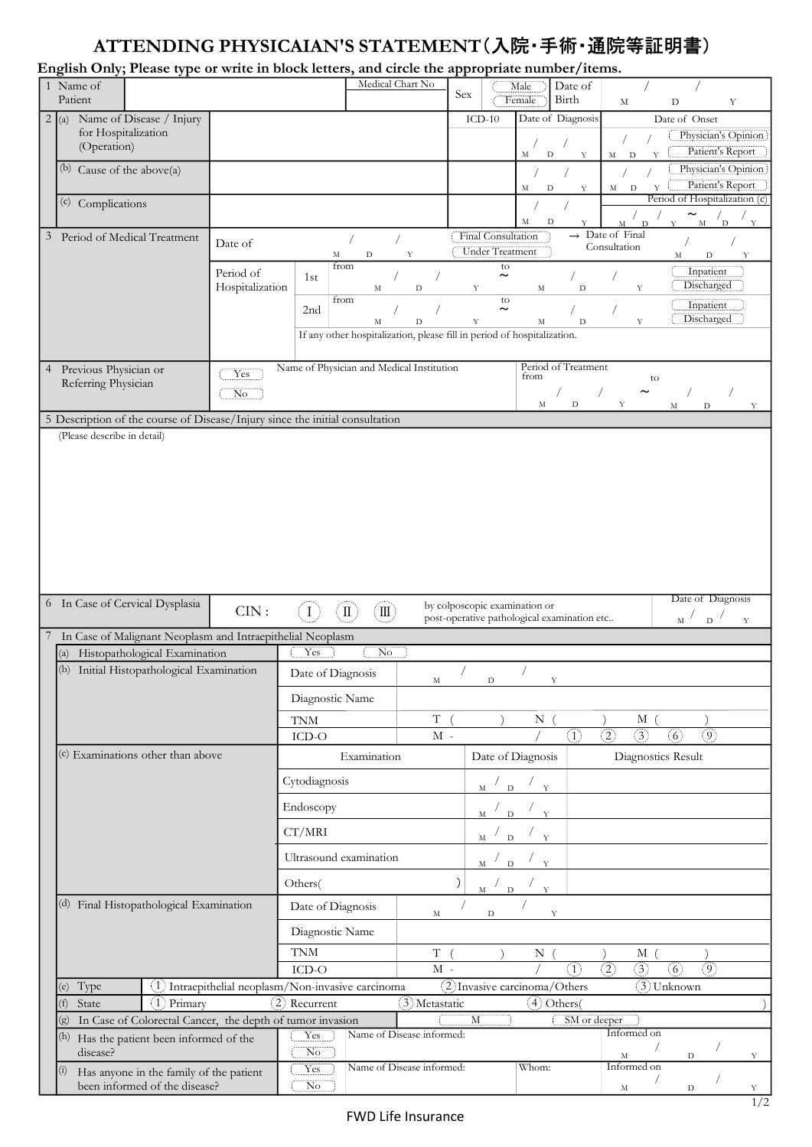## ATTENDING PHYSICAIAN'S STATEMENT(入院・手術・通院等証明書)

| ATTENDING PHYSICAIAN'S STATEMENT (入院・手術・通院等証明書)<br>English Only; Please type or write in block letters, and circle the appropriate number/items.<br>Medical Chart No<br>1 Name of<br>Date of<br>Male<br>Sex<br>Patient<br>Birth<br>Female<br>$\mathbf M$<br>$\mathbf Y$<br>D<br>Date of Diagnosis<br>$\boxed{2}$ (a) Name of Disease / Injury<br>$ICD-10$<br>Date of Onset<br>for Hospitalization<br>(Operation)<br>M<br>$\mathbf D$<br>$\mathbf M$<br>$\mathbf{D}$<br>Y<br>Y<br>(b) Cause of the above(a)<br>$\mathbf M$<br>M<br>$\mathbf{D}$<br>D<br>Y<br>(c) Complications<br>$\thicksim$<br>М<br>D<br>M<br>D<br>$\rightarrow$ Date of Final<br>Final Consultation<br>$\overline{3}$<br>Period of Medical Treatment<br>Date of<br>Consultation<br><b>Under Treatment</b><br>M<br>D<br>Y<br>M<br>D<br>from<br>to<br>Inpatient<br>Period of<br>$\thicksim$<br>1st<br>Discharged<br>Hospitalization<br>Y<br>M<br>D<br>$_{\rm M}$<br>Y<br>D<br>from<br>to<br>Inpatient<br>$\thicksim$<br>2 <sub>nd</sub><br>Discharged<br>Y<br>$_{\rm M}$<br>D<br>Y<br>М<br>D<br>If any other hospitalization, please fill in period of hospitalization.<br>Name of Physician and Medical Institution<br>Period of Treatment<br>Previous Physician or<br>$\overline{4}$<br>Yes<br>from<br>to<br>Referring Physician<br>$\sqrt{2}$<br>$\thicksim$<br>$\overline{\phantom{a}}$ No<br>$\mathbf M$<br>D<br>Y<br>M<br>$\mathbf{D}$<br>5 Description of the course of Disease/Injury since the initial consultation<br>(Please describe in detail)<br>Date of Diagnosis<br>6 In Case of Cervical Dysplasia<br>by colposcopic examination or<br>CIN:<br>$(\rm{I\hspace{-.1em}I\hspace{-.1em}I})$<br>$\left( 1\right)$<br>$(\rm{I\hspace{-.1em}I})$<br>$\mathbf{M}$ $\mathbf{D}$<br>post-operative pathological examination etc<br>$\mathbf Y$<br>In Case of Malignant Neoplasm and Intraepithelial Neoplasm<br>$\overline{\text{No}}$<br>(a) Histopathological Examination<br>Yes<br>(b) Initial Histopathological Examination<br>Date of Diagnosis<br>$_{\rm M}$<br>D<br>Y<br>Diagnostic Name<br>T(<br>N(<br>M(<br>$\operatorname{TNM}$<br>$\overline{(3)}$<br>$\langle 2 \rangle$<br>(6)<br>$\left( \widehat{1}\right)$<br>(9)<br>ICD-O<br>$\mathbf{M}$ -<br>$(c)$ Examinations other than above<br>Examination<br>Date of Diagnosis<br>Diagnostics Result<br>Cytodiagnosis<br>M / D / Y<br>Endoscopy<br>$M \times D$ $X$<br>CT/MRI<br>$\mathbf{M}$ $\mathbf{D}$<br>$\frac{1}{\sqrt{2}}$<br>Ultrasound examination<br>$M \times D \times Y$<br>Others(<br>$M \frac{1}{D}$ $\frac{1}{Y}$<br>(d) Final Histopathological Examination<br>Date of Diagnosis<br>$_{\rm M}$<br>$\mathbf{D}$<br>Y<br>Diagnostic Name<br>$\operatorname{TNM}$<br>T(<br>N(<br>M(<br>$\rightarrow$<br>$\binom{2}{}$<br>$\left(3\right)$<br>$\left( 9\right)$<br>$\left( 1\right)$<br>(6)<br>ICD-O<br>$M -$<br>$\overline{(3)}$ Unknown<br>Type<br>(1) Intraepithelial neoplasm/Non-invasive carcinoma<br>(2) Invasive carcinoma/Others<br>(e)<br>2 Recurrent<br>(3) Metastatic<br>4 Others<br>$(1)$ Primary<br>(f)<br>State<br>(g) In Case of Colorectal Cancer, the depth of tumor invasion<br>M<br>SM or deeper<br>Informed on<br>Name of Disease informed:<br>Yes<br>(h) Has the patient been informed of the<br>$\overline{\text{No}}$<br>disease?<br>$_{\rm M}$<br>D<br>Name of Disease informed:<br>Whom:<br>Informed on<br>Yes<br>Has anyone in the family of the patient<br>$\left( 1\right)$<br>been informed of the disease?<br>N <sub>o</sub><br>$\mathbf M$<br>D<br>FWD Life Insurance |                                            |  |  |  |  |  |  |  |
|----------------------------------------------------------------------------------------------------------------------------------------------------------------------------------------------------------------------------------------------------------------------------------------------------------------------------------------------------------------------------------------------------------------------------------------------------------------------------------------------------------------------------------------------------------------------------------------------------------------------------------------------------------------------------------------------------------------------------------------------------------------------------------------------------------------------------------------------------------------------------------------------------------------------------------------------------------------------------------------------------------------------------------------------------------------------------------------------------------------------------------------------------------------------------------------------------------------------------------------------------------------------------------------------------------------------------------------------------------------------------------------------------------------------------------------------------------------------------------------------------------------------------------------------------------------------------------------------------------------------------------------------------------------------------------------------------------------------------------------------------------------------------------------------------------------------------------------------------------------------------------------------------------------------------------------------------------------------------------------------------------------------------------------------------------------------------------------------------------------------------------------------------------------------------------------------------------------------------------------------------------------------------------------------------------------------------------------------------------------------------------------------------------------------------------------------------------------------------------------------------------------------------------------------------------------------------------------------------------------------------------------------------------------------------------------------------------------------------------------------------------------------------------------------------------------------------------------------------------------------------------------------------------------------------------------------------------------------------------------------------------------------------------------------------------------------------------------------------------------------------------------------------------------------------------------------------------------------------------------------------------------------------------------------------------------------------------------------------------------------------------------------------------------------------------------------------------------------------------------------------------------------------------------------------|--------------------------------------------|--|--|--|--|--|--|--|
| Patient's Report<br>Patient's Report<br>Y<br>Y<br>Y                                                                                                                                                                                                                                                                                                                                                                                                                                                                                                                                                                                                                                                                                                                                                                                                                                                                                                                                                                                                                                                                                                                                                                                                                                                                                                                                                                                                                                                                                                                                                                                                                                                                                                                                                                                                                                                                                                                                                                                                                                                                                                                                                                                                                                                                                                                                                                                                                                                                                                                                                                                                                                                                                                                                                                                                                                                                                                                                                                                                                                                                                                                                                                                                                                                                                                                                                                                                                                                                                                |                                            |  |  |  |  |  |  |  |
|                                                                                                                                                                                                                                                                                                                                                                                                                                                                                                                                                                                                                                                                                                                                                                                                                                                                                                                                                                                                                                                                                                                                                                                                                                                                                                                                                                                                                                                                                                                                                                                                                                                                                                                                                                                                                                                                                                                                                                                                                                                                                                                                                                                                                                                                                                                                                                                                                                                                                                                                                                                                                                                                                                                                                                                                                                                                                                                                                                                                                                                                                                                                                                                                                                                                                                                                                                                                                                                                                                                                                    | Physician's Opinion<br>Physician's Opinion |  |  |  |  |  |  |  |
|                                                                                                                                                                                                                                                                                                                                                                                                                                                                                                                                                                                                                                                                                                                                                                                                                                                                                                                                                                                                                                                                                                                                                                                                                                                                                                                                                                                                                                                                                                                                                                                                                                                                                                                                                                                                                                                                                                                                                                                                                                                                                                                                                                                                                                                                                                                                                                                                                                                                                                                                                                                                                                                                                                                                                                                                                                                                                                                                                                                                                                                                                                                                                                                                                                                                                                                                                                                                                                                                                                                                                    | Period of Hospitalization (c)<br>1/2       |  |  |  |  |  |  |  |
|                                                                                                                                                                                                                                                                                                                                                                                                                                                                                                                                                                                                                                                                                                                                                                                                                                                                                                                                                                                                                                                                                                                                                                                                                                                                                                                                                                                                                                                                                                                                                                                                                                                                                                                                                                                                                                                                                                                                                                                                                                                                                                                                                                                                                                                                                                                                                                                                                                                                                                                                                                                                                                                                                                                                                                                                                                                                                                                                                                                                                                                                                                                                                                                                                                                                                                                                                                                                                                                                                                                                                    |                                            |  |  |  |  |  |  |  |
|                                                                                                                                                                                                                                                                                                                                                                                                                                                                                                                                                                                                                                                                                                                                                                                                                                                                                                                                                                                                                                                                                                                                                                                                                                                                                                                                                                                                                                                                                                                                                                                                                                                                                                                                                                                                                                                                                                                                                                                                                                                                                                                                                                                                                                                                                                                                                                                                                                                                                                                                                                                                                                                                                                                                                                                                                                                                                                                                                                                                                                                                                                                                                                                                                                                                                                                                                                                                                                                                                                                                                    |                                            |  |  |  |  |  |  |  |
|                                                                                                                                                                                                                                                                                                                                                                                                                                                                                                                                                                                                                                                                                                                                                                                                                                                                                                                                                                                                                                                                                                                                                                                                                                                                                                                                                                                                                                                                                                                                                                                                                                                                                                                                                                                                                                                                                                                                                                                                                                                                                                                                                                                                                                                                                                                                                                                                                                                                                                                                                                                                                                                                                                                                                                                                                                                                                                                                                                                                                                                                                                                                                                                                                                                                                                                                                                                                                                                                                                                                                    |                                            |  |  |  |  |  |  |  |
|                                                                                                                                                                                                                                                                                                                                                                                                                                                                                                                                                                                                                                                                                                                                                                                                                                                                                                                                                                                                                                                                                                                                                                                                                                                                                                                                                                                                                                                                                                                                                                                                                                                                                                                                                                                                                                                                                                                                                                                                                                                                                                                                                                                                                                                                                                                                                                                                                                                                                                                                                                                                                                                                                                                                                                                                                                                                                                                                                                                                                                                                                                                                                                                                                                                                                                                                                                                                                                                                                                                                                    |                                            |  |  |  |  |  |  |  |
|                                                                                                                                                                                                                                                                                                                                                                                                                                                                                                                                                                                                                                                                                                                                                                                                                                                                                                                                                                                                                                                                                                                                                                                                                                                                                                                                                                                                                                                                                                                                                                                                                                                                                                                                                                                                                                                                                                                                                                                                                                                                                                                                                                                                                                                                                                                                                                                                                                                                                                                                                                                                                                                                                                                                                                                                                                                                                                                                                                                                                                                                                                                                                                                                                                                                                                                                                                                                                                                                                                                                                    |                                            |  |  |  |  |  |  |  |
|                                                                                                                                                                                                                                                                                                                                                                                                                                                                                                                                                                                                                                                                                                                                                                                                                                                                                                                                                                                                                                                                                                                                                                                                                                                                                                                                                                                                                                                                                                                                                                                                                                                                                                                                                                                                                                                                                                                                                                                                                                                                                                                                                                                                                                                                                                                                                                                                                                                                                                                                                                                                                                                                                                                                                                                                                                                                                                                                                                                                                                                                                                                                                                                                                                                                                                                                                                                                                                                                                                                                                    |                                            |  |  |  |  |  |  |  |
|                                                                                                                                                                                                                                                                                                                                                                                                                                                                                                                                                                                                                                                                                                                                                                                                                                                                                                                                                                                                                                                                                                                                                                                                                                                                                                                                                                                                                                                                                                                                                                                                                                                                                                                                                                                                                                                                                                                                                                                                                                                                                                                                                                                                                                                                                                                                                                                                                                                                                                                                                                                                                                                                                                                                                                                                                                                                                                                                                                                                                                                                                                                                                                                                                                                                                                                                                                                                                                                                                                                                                    |                                            |  |  |  |  |  |  |  |
|                                                                                                                                                                                                                                                                                                                                                                                                                                                                                                                                                                                                                                                                                                                                                                                                                                                                                                                                                                                                                                                                                                                                                                                                                                                                                                                                                                                                                                                                                                                                                                                                                                                                                                                                                                                                                                                                                                                                                                                                                                                                                                                                                                                                                                                                                                                                                                                                                                                                                                                                                                                                                                                                                                                                                                                                                                                                                                                                                                                                                                                                                                                                                                                                                                                                                                                                                                                                                                                                                                                                                    |                                            |  |  |  |  |  |  |  |
|                                                                                                                                                                                                                                                                                                                                                                                                                                                                                                                                                                                                                                                                                                                                                                                                                                                                                                                                                                                                                                                                                                                                                                                                                                                                                                                                                                                                                                                                                                                                                                                                                                                                                                                                                                                                                                                                                                                                                                                                                                                                                                                                                                                                                                                                                                                                                                                                                                                                                                                                                                                                                                                                                                                                                                                                                                                                                                                                                                                                                                                                                                                                                                                                                                                                                                                                                                                                                                                                                                                                                    |                                            |  |  |  |  |  |  |  |
|                                                                                                                                                                                                                                                                                                                                                                                                                                                                                                                                                                                                                                                                                                                                                                                                                                                                                                                                                                                                                                                                                                                                                                                                                                                                                                                                                                                                                                                                                                                                                                                                                                                                                                                                                                                                                                                                                                                                                                                                                                                                                                                                                                                                                                                                                                                                                                                                                                                                                                                                                                                                                                                                                                                                                                                                                                                                                                                                                                                                                                                                                                                                                                                                                                                                                                                                                                                                                                                                                                                                                    |                                            |  |  |  |  |  |  |  |
|                                                                                                                                                                                                                                                                                                                                                                                                                                                                                                                                                                                                                                                                                                                                                                                                                                                                                                                                                                                                                                                                                                                                                                                                                                                                                                                                                                                                                                                                                                                                                                                                                                                                                                                                                                                                                                                                                                                                                                                                                                                                                                                                                                                                                                                                                                                                                                                                                                                                                                                                                                                                                                                                                                                                                                                                                                                                                                                                                                                                                                                                                                                                                                                                                                                                                                                                                                                                                                                                                                                                                    |                                            |  |  |  |  |  |  |  |
|                                                                                                                                                                                                                                                                                                                                                                                                                                                                                                                                                                                                                                                                                                                                                                                                                                                                                                                                                                                                                                                                                                                                                                                                                                                                                                                                                                                                                                                                                                                                                                                                                                                                                                                                                                                                                                                                                                                                                                                                                                                                                                                                                                                                                                                                                                                                                                                                                                                                                                                                                                                                                                                                                                                                                                                                                                                                                                                                                                                                                                                                                                                                                                                                                                                                                                                                                                                                                                                                                                                                                    |                                            |  |  |  |  |  |  |  |
|                                                                                                                                                                                                                                                                                                                                                                                                                                                                                                                                                                                                                                                                                                                                                                                                                                                                                                                                                                                                                                                                                                                                                                                                                                                                                                                                                                                                                                                                                                                                                                                                                                                                                                                                                                                                                                                                                                                                                                                                                                                                                                                                                                                                                                                                                                                                                                                                                                                                                                                                                                                                                                                                                                                                                                                                                                                                                                                                                                                                                                                                                                                                                                                                                                                                                                                                                                                                                                                                                                                                                    |                                            |  |  |  |  |  |  |  |
|                                                                                                                                                                                                                                                                                                                                                                                                                                                                                                                                                                                                                                                                                                                                                                                                                                                                                                                                                                                                                                                                                                                                                                                                                                                                                                                                                                                                                                                                                                                                                                                                                                                                                                                                                                                                                                                                                                                                                                                                                                                                                                                                                                                                                                                                                                                                                                                                                                                                                                                                                                                                                                                                                                                                                                                                                                                                                                                                                                                                                                                                                                                                                                                                                                                                                                                                                                                                                                                                                                                                                    |                                            |  |  |  |  |  |  |  |
|                                                                                                                                                                                                                                                                                                                                                                                                                                                                                                                                                                                                                                                                                                                                                                                                                                                                                                                                                                                                                                                                                                                                                                                                                                                                                                                                                                                                                                                                                                                                                                                                                                                                                                                                                                                                                                                                                                                                                                                                                                                                                                                                                                                                                                                                                                                                                                                                                                                                                                                                                                                                                                                                                                                                                                                                                                                                                                                                                                                                                                                                                                                                                                                                                                                                                                                                                                                                                                                                                                                                                    |                                            |  |  |  |  |  |  |  |
|                                                                                                                                                                                                                                                                                                                                                                                                                                                                                                                                                                                                                                                                                                                                                                                                                                                                                                                                                                                                                                                                                                                                                                                                                                                                                                                                                                                                                                                                                                                                                                                                                                                                                                                                                                                                                                                                                                                                                                                                                                                                                                                                                                                                                                                                                                                                                                                                                                                                                                                                                                                                                                                                                                                                                                                                                                                                                                                                                                                                                                                                                                                                                                                                                                                                                                                                                                                                                                                                                                                                                    |                                            |  |  |  |  |  |  |  |
|                                                                                                                                                                                                                                                                                                                                                                                                                                                                                                                                                                                                                                                                                                                                                                                                                                                                                                                                                                                                                                                                                                                                                                                                                                                                                                                                                                                                                                                                                                                                                                                                                                                                                                                                                                                                                                                                                                                                                                                                                                                                                                                                                                                                                                                                                                                                                                                                                                                                                                                                                                                                                                                                                                                                                                                                                                                                                                                                                                                                                                                                                                                                                                                                                                                                                                                                                                                                                                                                                                                                                    |                                            |  |  |  |  |  |  |  |
|                                                                                                                                                                                                                                                                                                                                                                                                                                                                                                                                                                                                                                                                                                                                                                                                                                                                                                                                                                                                                                                                                                                                                                                                                                                                                                                                                                                                                                                                                                                                                                                                                                                                                                                                                                                                                                                                                                                                                                                                                                                                                                                                                                                                                                                                                                                                                                                                                                                                                                                                                                                                                                                                                                                                                                                                                                                                                                                                                                                                                                                                                                                                                                                                                                                                                                                                                                                                                                                                                                                                                    |                                            |  |  |  |  |  |  |  |
|                                                                                                                                                                                                                                                                                                                                                                                                                                                                                                                                                                                                                                                                                                                                                                                                                                                                                                                                                                                                                                                                                                                                                                                                                                                                                                                                                                                                                                                                                                                                                                                                                                                                                                                                                                                                                                                                                                                                                                                                                                                                                                                                                                                                                                                                                                                                                                                                                                                                                                                                                                                                                                                                                                                                                                                                                                                                                                                                                                                                                                                                                                                                                                                                                                                                                                                                                                                                                                                                                                                                                    |                                            |  |  |  |  |  |  |  |
|                                                                                                                                                                                                                                                                                                                                                                                                                                                                                                                                                                                                                                                                                                                                                                                                                                                                                                                                                                                                                                                                                                                                                                                                                                                                                                                                                                                                                                                                                                                                                                                                                                                                                                                                                                                                                                                                                                                                                                                                                                                                                                                                                                                                                                                                                                                                                                                                                                                                                                                                                                                                                                                                                                                                                                                                                                                                                                                                                                                                                                                                                                                                                                                                                                                                                                                                                                                                                                                                                                                                                    |                                            |  |  |  |  |  |  |  |
|                                                                                                                                                                                                                                                                                                                                                                                                                                                                                                                                                                                                                                                                                                                                                                                                                                                                                                                                                                                                                                                                                                                                                                                                                                                                                                                                                                                                                                                                                                                                                                                                                                                                                                                                                                                                                                                                                                                                                                                                                                                                                                                                                                                                                                                                                                                                                                                                                                                                                                                                                                                                                                                                                                                                                                                                                                                                                                                                                                                                                                                                                                                                                                                                                                                                                                                                                                                                                                                                                                                                                    |                                            |  |  |  |  |  |  |  |
|                                                                                                                                                                                                                                                                                                                                                                                                                                                                                                                                                                                                                                                                                                                                                                                                                                                                                                                                                                                                                                                                                                                                                                                                                                                                                                                                                                                                                                                                                                                                                                                                                                                                                                                                                                                                                                                                                                                                                                                                                                                                                                                                                                                                                                                                                                                                                                                                                                                                                                                                                                                                                                                                                                                                                                                                                                                                                                                                                                                                                                                                                                                                                                                                                                                                                                                                                                                                                                                                                                                                                    |                                            |  |  |  |  |  |  |  |
|                                                                                                                                                                                                                                                                                                                                                                                                                                                                                                                                                                                                                                                                                                                                                                                                                                                                                                                                                                                                                                                                                                                                                                                                                                                                                                                                                                                                                                                                                                                                                                                                                                                                                                                                                                                                                                                                                                                                                                                                                                                                                                                                                                                                                                                                                                                                                                                                                                                                                                                                                                                                                                                                                                                                                                                                                                                                                                                                                                                                                                                                                                                                                                                                                                                                                                                                                                                                                                                                                                                                                    |                                            |  |  |  |  |  |  |  |
|                                                                                                                                                                                                                                                                                                                                                                                                                                                                                                                                                                                                                                                                                                                                                                                                                                                                                                                                                                                                                                                                                                                                                                                                                                                                                                                                                                                                                                                                                                                                                                                                                                                                                                                                                                                                                                                                                                                                                                                                                                                                                                                                                                                                                                                                                                                                                                                                                                                                                                                                                                                                                                                                                                                                                                                                                                                                                                                                                                                                                                                                                                                                                                                                                                                                                                                                                                                                                                                                                                                                                    |                                            |  |  |  |  |  |  |  |
|                                                                                                                                                                                                                                                                                                                                                                                                                                                                                                                                                                                                                                                                                                                                                                                                                                                                                                                                                                                                                                                                                                                                                                                                                                                                                                                                                                                                                                                                                                                                                                                                                                                                                                                                                                                                                                                                                                                                                                                                                                                                                                                                                                                                                                                                                                                                                                                                                                                                                                                                                                                                                                                                                                                                                                                                                                                                                                                                                                                                                                                                                                                                                                                                                                                                                                                                                                                                                                                                                                                                                    |                                            |  |  |  |  |  |  |  |
|                                                                                                                                                                                                                                                                                                                                                                                                                                                                                                                                                                                                                                                                                                                                                                                                                                                                                                                                                                                                                                                                                                                                                                                                                                                                                                                                                                                                                                                                                                                                                                                                                                                                                                                                                                                                                                                                                                                                                                                                                                                                                                                                                                                                                                                                                                                                                                                                                                                                                                                                                                                                                                                                                                                                                                                                                                                                                                                                                                                                                                                                                                                                                                                                                                                                                                                                                                                                                                                                                                                                                    |                                            |  |  |  |  |  |  |  |
|                                                                                                                                                                                                                                                                                                                                                                                                                                                                                                                                                                                                                                                                                                                                                                                                                                                                                                                                                                                                                                                                                                                                                                                                                                                                                                                                                                                                                                                                                                                                                                                                                                                                                                                                                                                                                                                                                                                                                                                                                                                                                                                                                                                                                                                                                                                                                                                                                                                                                                                                                                                                                                                                                                                                                                                                                                                                                                                                                                                                                                                                                                                                                                                                                                                                                                                                                                                                                                                                                                                                                    |                                            |  |  |  |  |  |  |  |